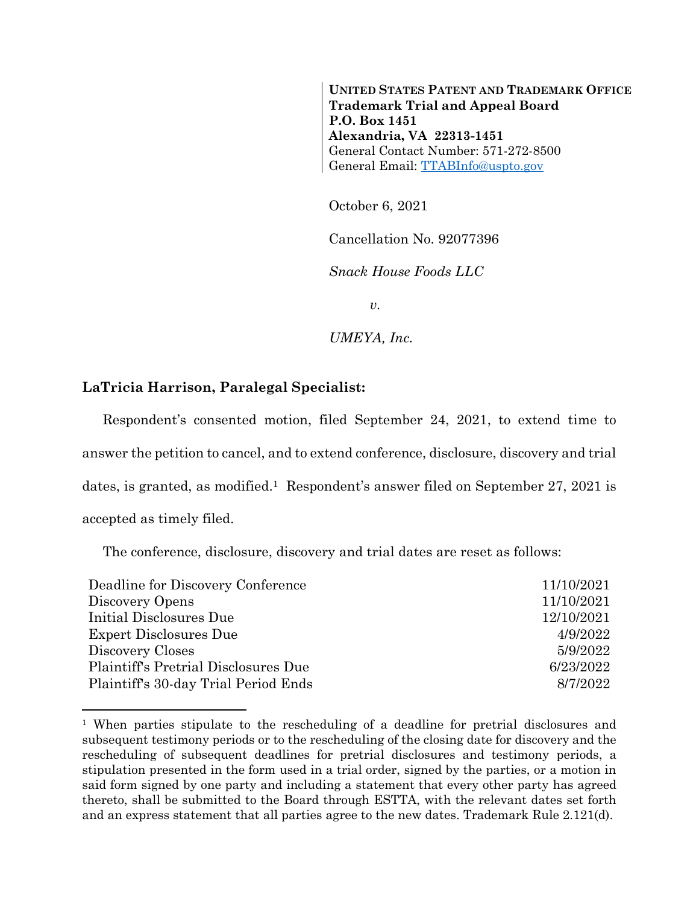**UNITED STATES PATENT AND TRADEMARK OFFICE Trademark Trial and Appeal Board P.O. Box 1451 Alexandria, VA 22313-1451** General Contact Number: 571-272-8500 General Email: [TTABInfo@uspto.gov](mailto:TTABInfo@uspto.gov)

October 6, 2021

Cancellation No. 92077396

*Snack House Foods LLC*

*v.*

*UMEYA, Inc.*

## **LaTricia Harrison, Paralegal Specialist:**

l

Respondent's consented motion, filed September 24, 2021, to extend time to answer the petition to cancel, and to extend conference, disclosure, discovery and trial dates, is granted, as modified. <sup>1</sup> Respondent's answer filed on September 27, 2021 is accepted as timely filed.

The conference, disclosure, discovery and trial dates are reset as follows:

| 11/10/2021 |
|------------|
| 11/10/2021 |
| 12/10/2021 |
| 4/9/2022   |
| 5/9/2022   |
| 6/23/2022  |
| 8/7/2022   |
|            |

<sup>1</sup> When parties stipulate to the rescheduling of a deadline for pretrial disclosures and subsequent testimony periods or to the rescheduling of the closing date for discovery and the rescheduling of subsequent deadlines for pretrial disclosures and testimony periods, a stipulation presented in the form used in a trial order, signed by the parties, or a motion in said form signed by one party and including a statement that every other party has agreed thereto, shall be submitted to the Board through ESTTA, with the relevant dates set forth and an express statement that all parties agree to the new dates. Trademark Rule 2.121(d).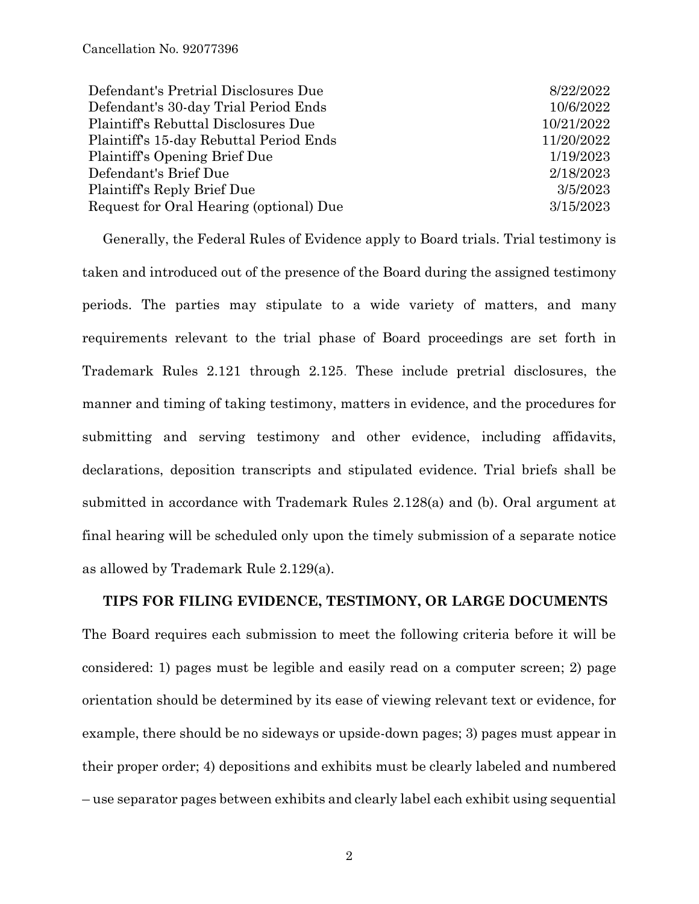| Defendant's Pretrial Disclosures Due    | 8/22/2022  |
|-----------------------------------------|------------|
| Defendant's 30-day Trial Period Ends    | 10/6/2022  |
| Plaintiff's Rebuttal Disclosures Due    | 10/21/2022 |
| Plaintiff's 15-day Rebuttal Period Ends | 11/20/2022 |
| Plaintiff's Opening Brief Due           | 1/19/2023  |
| Defendant's Brief Due                   | 2/18/2023  |
| Plaintiff's Reply Brief Due             | 3/5/2023   |
| Request for Oral Hearing (optional) Due | 3/15/2023  |

Generally, the Federal Rules of Evidence apply to Board trials. Trial testimony is taken and introduced out of the presence of the Board during the assigned testimony periods. The parties may stipulate to a wide variety of matters, and many requirements relevant to the trial phase of Board proceedings are set forth in Trademark Rules 2.121 through 2.125. These include pretrial disclosures, the manner and timing of taking testimony, matters in evidence, and the procedures for submitting and serving testimony and other evidence, including affidavits, declarations, deposition transcripts and stipulated evidence. Trial briefs shall be submitted in accordance with Trademark Rules 2.128(a) and (b). Oral argument at final hearing will be scheduled only upon the timely submission of a separate notice as allowed by Trademark Rule 2.129(a).

## **TIPS FOR FILING EVIDENCE, TESTIMONY, OR LARGE DOCUMENTS**

The Board requires each submission to meet the following criteria before it will be considered: 1) pages must be legible and easily read on a computer screen; 2) page orientation should be determined by its ease of viewing relevant text or evidence, for example, there should be no sideways or upside-down pages; 3) pages must appear in their proper order; 4) depositions and exhibits must be clearly labeled and numbered – use separator pages between exhibits and clearly label each exhibit using sequential